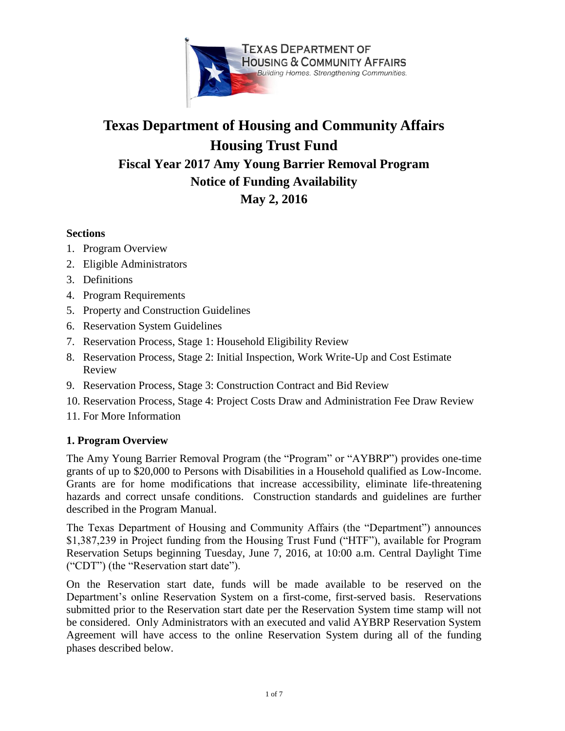

# **Texas Department of Housing and Community Affairs Housing Trust Fund Fiscal Year 2017 Amy Young Barrier Removal Program Notice of Funding Availability May 2, 2016**

# **Sections**

- 1. Program Overview
- 2. Eligible Administrators
- 3. Definitions
- 4. Program Requirements
- 5. Property and Construction Guidelines
- 6. Reservation System Guidelines
- 7. Reservation Process, Stage 1: Household Eligibility Review
- 8. Reservation Process, Stage 2: Initial Inspection, Work Write-Up and Cost Estimate Review
- 9. Reservation Process, Stage 3: Construction Contract and Bid Review
- 10. Reservation Process, Stage 4: Project Costs Draw and Administration Fee Draw Review
- 11. For More Information

#### **1. Program Overview**

The Amy Young Barrier Removal Program (the "Program" or "AYBRP") provides one-time grants of up to \$20,000 to Persons with Disabilities in a Household qualified as Low-Income. Grants are for home modifications that increase accessibility, eliminate life-threatening hazards and correct unsafe conditions. Construction standards and guidelines are further described in the Program Manual.

The Texas Department of Housing and Community Affairs (the "Department") announces \$1,387,239 in Project funding from the Housing Trust Fund ("HTF"), available for Program Reservation Setups beginning Tuesday, June 7, 2016, at 10:00 a.m. Central Daylight Time ("CDT") (the "Reservation start date").

On the Reservation start date, funds will be made available to be reserved on the Department's online Reservation System on a first-come, first-served basis. Reservations submitted prior to the Reservation start date per the Reservation System time stamp will not be considered. Only Administrators with an executed and valid AYBRP Reservation System Agreement will have access to the online Reservation System during all of the funding phases described below.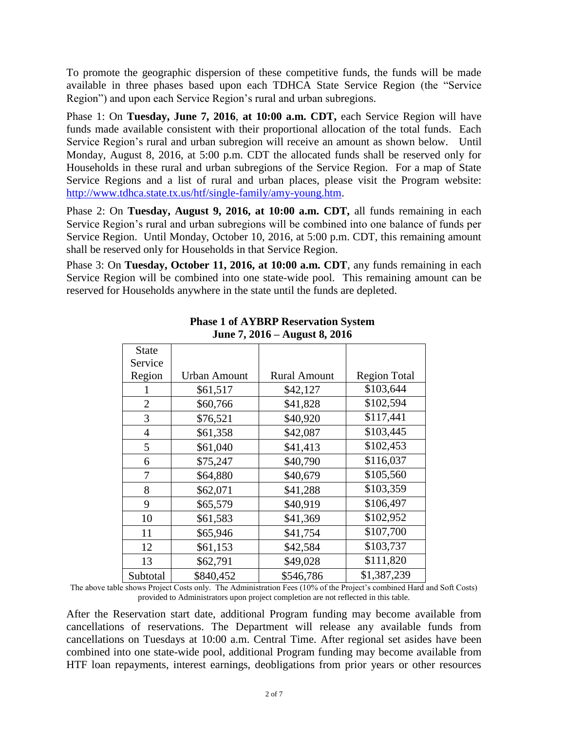To promote the geographic dispersion of these competitive funds, the funds will be made available in three phases based upon each TDHCA State Service Region (the "Service Region") and upon each Service Region's rural and urban subregions.

Phase 1: On **Tuesday, June 7, 2016**, **at 10:00 a.m. CDT,** each Service Region will have funds made available consistent with their proportional allocation of the total funds. Each Service Region's rural and urban subregion will receive an amount as shown below.Until Monday, August 8, 2016, at 5:00 p.m. CDT the allocated funds shall be reserved only for Households in these rural and urban subregions of the Service Region. For a map of State Service Regions and a list of rural and urban places, please visit the Program website: [http://www.tdhca.state.tx.us/htf/single-family/amy-young.htm.](http://www.tdhca.state.tx.us/htf/single-family/amy-young.htm)

Phase 2: On **Tuesday, August 9, 2016, at 10:00 a.m. CDT,** all funds remaining in each Service Region's rural and urban subregions will be combined into one balance of funds per Service Region. Until Monday, October 10, 2016, at 5:00 p.m. CDT, this remaining amount shall be reserved only for Households in that Service Region.

Phase 3: On **Tuesday, October 11, 2016, at 10:00 a.m. CDT**, any funds remaining in each Service Region will be combined into one state-wide pool. This remaining amount can be reserved for Households anywhere in the state until the funds are depleted.

| <b>State</b>   |                     |                     |                     |
|----------------|---------------------|---------------------|---------------------|
| Service        |                     |                     |                     |
| Region         | <b>Urban Amount</b> | <b>Rural Amount</b> | <b>Region Total</b> |
|                | \$61,517            | \$42,127            | \$103,644           |
| $\overline{2}$ | \$60,766            | \$41,828            | \$102,594           |
| 3              | \$76,521            | \$40,920            | \$117,441           |
| 4              | \$61,358            | \$42,087            | \$103,445           |
| 5              | \$61,040            | \$41,413            | \$102,453           |
| 6              | \$75,247            | \$40,790            | \$116,037           |
| 7              | \$64,880            | \$40,679            | \$105,560           |
| 8              | \$62,071            | \$41,288            | \$103,359           |
| 9              | \$65,579            | \$40,919            | \$106,497           |
| 10             | \$61,583            | \$41,369            | \$102,952           |
| 11             | \$65,946            | \$41,754            | \$107,700           |
| 12             | \$61,153            | \$42,584            | \$103,737           |
| 13             | \$62,791            | \$49,028            | \$111,820           |
| Subtotal       | \$840,452           | \$546,786           | \$1,387,239         |

### **Phase 1 of AYBRP Reservation System June 7, 2016 – August 8, 2016**

The above table shows Project Costs only. The Administration Fees (10% of the Project's combined Hard and Soft Costs) provided to Administrators upon project completion are not reflected in this table.

After the Reservation start date, additional Program funding may become available from cancellations of reservations. The Department will release any available funds from cancellations on Tuesdays at 10:00 a.m. Central Time. After regional set asides have been combined into one state-wide pool, additional Program funding may become available from HTF loan repayments, interest earnings, deobligations from prior years or other resources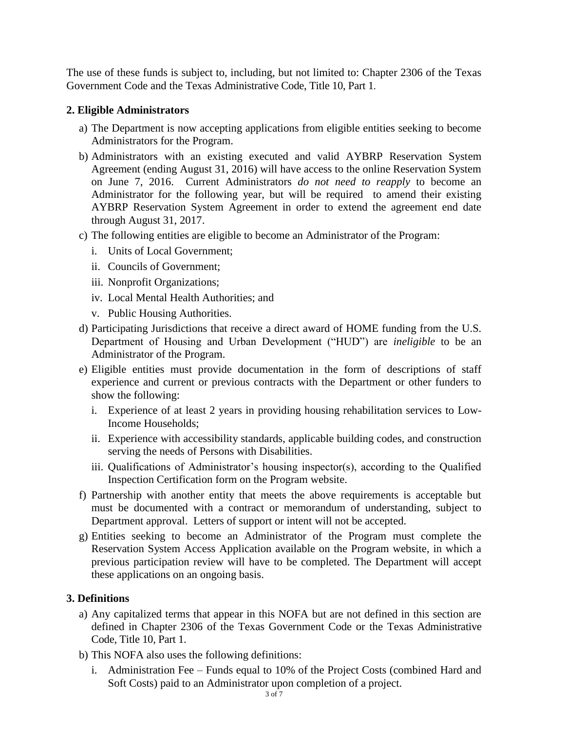The use of these funds is subject to, including, but not limited to: Chapter 2306 of the Texas Government Code and the Texas Administrative Code, Title 10, Part 1.

### **2. Eligible Administrators**

- a) The Department is now accepting applications from eligible entities seeking to become Administrators for the Program.
- b) Administrators with an existing executed and valid AYBRP Reservation System Agreement (ending August 31, 2016) will have access to the online Reservation System on June 7, 2016. Current Administrators *do not need to reapply* to become an Administrator for the following year, but will be required to amend their existing AYBRP Reservation System Agreement in order to extend the agreement end date through August 31, 2017.
- c) The following entities are eligible to become an Administrator of the Program:
	- i. Units of Local Government;
	- ii. Councils of Government;
	- iii. Nonprofit Organizations;
	- iv. Local Mental Health Authorities; and
	- v. Public Housing Authorities.
- d) Participating Jurisdictions that receive a direct award of HOME funding from the U.S. Department of Housing and Urban Development ("HUD") are *ineligible* to be an Administrator of the Program.
- e) Eligible entities must provide documentation in the form of descriptions of staff experience and current or previous contracts with the Department or other funders to show the following:
	- i. Experience of at least 2 years in providing housing rehabilitation services to Low-Income Households;
	- ii. Experience with accessibility standards, applicable building codes, and construction serving the needs of Persons with Disabilities.
	- iii. Qualifications of Administrator's housing inspector(s), according to the Qualified Inspection Certification form on the Program website.
- f) Partnership with another entity that meets the above requirements is acceptable but must be documented with a contract or memorandum of understanding, subject to Department approval. Letters of support or intent will not be accepted.
- g) Entities seeking to become an Administrator of the Program must complete the Reservation System Access Application available on the Program website, in which a previous participation review will have to be completed. The Department will accept these applications on an ongoing basis.

# **3. Definitions**

- a) Any capitalized terms that appear in this NOFA but are not defined in this section are defined in Chapter 2306 of the Texas Government Code or the Texas Administrative Code, Title 10, Part 1.
- b) This NOFA also uses the following definitions:
	- i. Administration Fee Funds equal to 10% of the Project Costs (combined Hard and Soft Costs) paid to an Administrator upon completion of a project.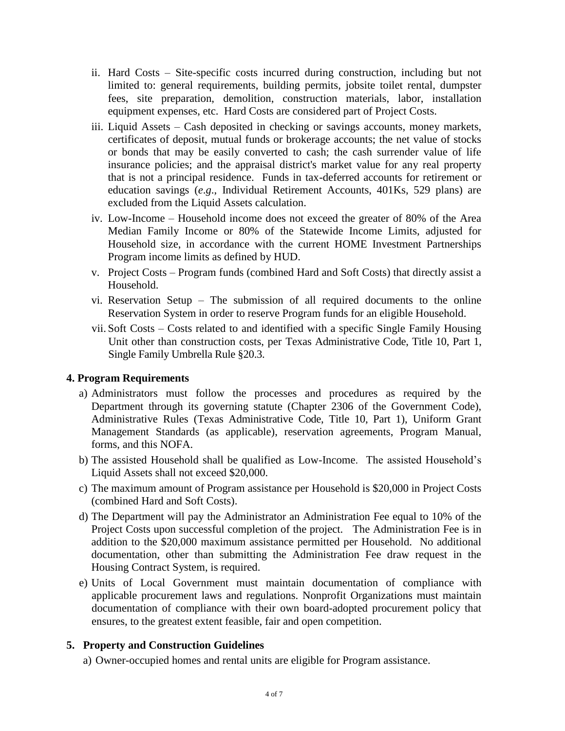- ii. Hard Costs Site-specific costs incurred during construction, including but not limited to: general requirements, building permits, jobsite toilet rental, dumpster fees, site preparation, demolition, construction materials, labor, installation equipment expenses, etc. Hard Costs are considered part of Project Costs.
- iii. Liquid Assets Cash deposited in checking or savings accounts, money markets, certificates of deposit, mutual funds or brokerage accounts; the net value of stocks or bonds that may be easily converted to cash; the cash surrender value of life insurance policies; and the appraisal district's market value for any real property that is not a principal residence. Funds in tax-deferred accounts for retirement or education savings (*e*.*g*., Individual Retirement Accounts, 401Ks, 529 plans) are excluded from the Liquid Assets calculation.
- iv. Low-Income Household income does not exceed the greater of 80% of the Area Median Family Income or 80% of the Statewide Income Limits, adjusted for Household size, in accordance with the current HOME Investment Partnerships Program income limits as defined by HUD.
- v. Project Costs Program funds (combined Hard and Soft Costs) that directly assist a Household.
- vi. Reservation Setup The submission of all required documents to the online Reservation System in order to reserve Program funds for an eligible Household.
- vii. Soft Costs Costs related to and identified with a specific Single Family Housing Unit other than construction costs, per Texas Administrative Code, Title 10, Part 1, Single Family Umbrella Rule §20.3.

# **4. Program Requirements**

- a) Administrators must follow the processes and procedures as required by the Department through its governing statute (Chapter 2306 of the Government Code), Administrative Rules (Texas Administrative Code, Title 10, Part 1), Uniform Grant Management Standards (as applicable), reservation agreements, Program Manual, forms, and this NOFA.
- b) The assisted Household shall be qualified as Low-Income. The assisted Household's Liquid Assets shall not exceed \$20,000.
- c) The maximum amount of Program assistance per Household is \$20,000 in Project Costs (combined Hard and Soft Costs).
- d) The Department will pay the Administrator an Administration Fee equal to 10% of the Project Costs upon successful completion of the project. The Administration Fee is in addition to the \$20,000 maximum assistance permitted per Household. No additional documentation, other than submitting the Administration Fee draw request in the Housing Contract System, is required.
- e) Units of Local Government must maintain documentation of compliance with applicable procurement laws and regulations. Nonprofit Organizations must maintain documentation of compliance with their own board-adopted procurement policy that ensures, to the greatest extent feasible, fair and open competition.

# **5. Property and Construction Guidelines**

a) Owner-occupied homes and rental units are eligible for Program assistance.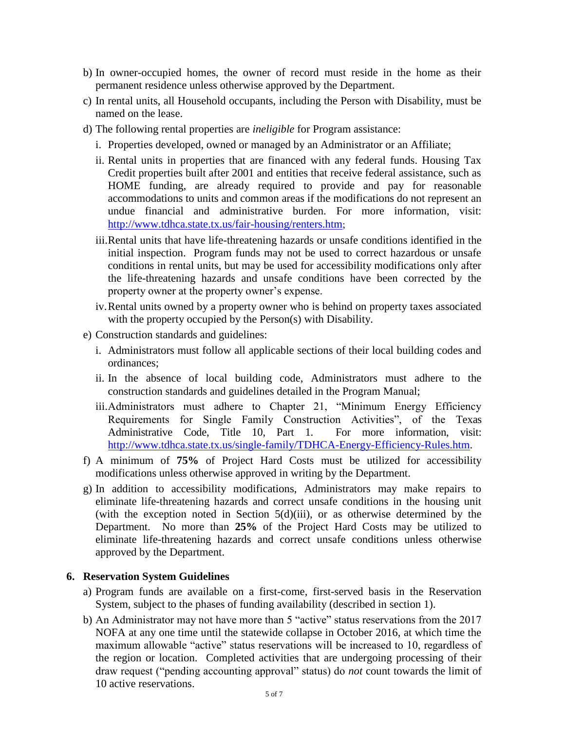- b) In owner-occupied homes, the owner of record must reside in the home as their permanent residence unless otherwise approved by the Department.
- c) In rental units, all Household occupants, including the Person with Disability, must be named on the lease.
- d) The following rental properties are *ineligible* for Program assistance:
	- i. Properties developed, owned or managed by an Administrator or an Affiliate;
	- ii. Rental units in properties that are financed with any federal funds. Housing Tax Credit properties built after 2001 and entities that receive federal assistance, such as HOME funding, are already required to provide and pay for reasonable accommodations to units and common areas if the modifications do not represent an undue financial and administrative burden. For more information, visit: <http://www.tdhca.state.tx.us/fair-housing/renters.htm>;
	- iii.Rental units that have life-threatening hazards or unsafe conditions identified in the initial inspection. Program funds may not be used to correct hazardous or unsafe conditions in rental units, but may be used for accessibility modifications only after the life-threatening hazards and unsafe conditions have been corrected by the property owner at the property owner's expense.
	- iv.Rental units owned by a property owner who is behind on property taxes associated with the property occupied by the Person(s) with Disability.
- e) Construction standards and guidelines:
	- i. Administrators must follow all applicable sections of their local building codes and ordinances;
	- ii. In the absence of local building code, Administrators must adhere to the construction standards and guidelines detailed in the Program Manual;
	- iii.Administrators must adhere to Chapter 21, "Minimum Energy Efficiency Requirements for Single Family Construction Activities", of the Texas Administrative Code, Title 10, Part 1. For more information, visit: [http://www.tdhca.state.tx.us/single-family/TDHCA-Energy-Efficiency-Rules.htm.](http://www.tdhca.state.tx.us/single-family/TDHCA-Energy-Efficiency-Rules.htm)
- f) A minimum of **75%** of Project Hard Costs must be utilized for accessibility modifications unless otherwise approved in writing by the Department.
- g) In addition to accessibility modifications, Administrators may make repairs to eliminate life-threatening hazards and correct unsafe conditions in the housing unit (with the exception noted in Section  $5(d)(iii)$ , or as otherwise determined by the Department. No more than **25%** of the Project Hard Costs may be utilized to eliminate life-threatening hazards and correct unsafe conditions unless otherwise approved by the Department.

# **6. Reservation System Guidelines**

- a) Program funds are available on a first-come, first-served basis in the Reservation System, subject to the phases of funding availability (described in section 1).
- b) An Administrator may not have more than 5 "active" status reservations from the 2017 NOFA at any one time until the statewide collapse in October 2016, at which time the maximum allowable "active" status reservations will be increased to 10, regardless of the region or location. Completed activities that are undergoing processing of their draw request ("pending accounting approval" status) do *not* count towards the limit of 10 active reservations.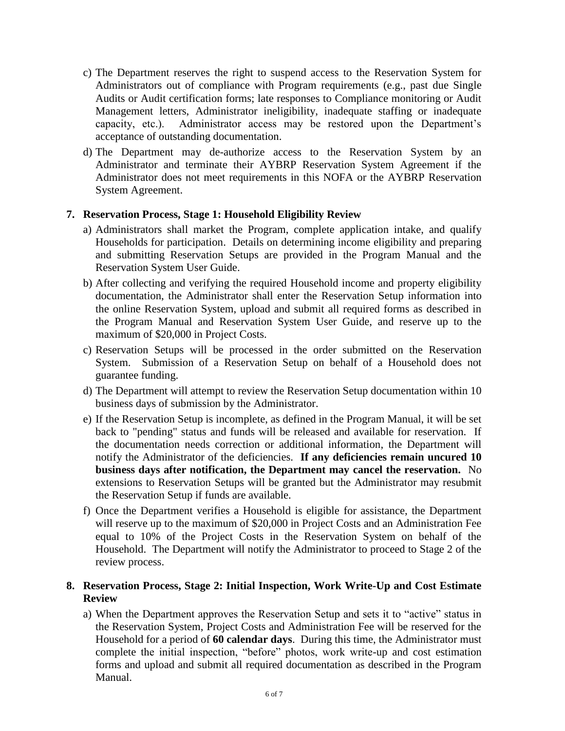- c) The Department reserves the right to suspend access to the Reservation System for Administrators out of compliance with Program requirements (e.g., past due Single Audits or Audit certification forms; late responses to Compliance monitoring or Audit Management letters, Administrator ineligibility, inadequate staffing or inadequate capacity, etc.). Administrator access may be restored upon the Department's acceptance of outstanding documentation.
- d) The Department may de-authorize access to the Reservation System by an Administrator and terminate their AYBRP Reservation System Agreement if the Administrator does not meet requirements in this NOFA or the AYBRP Reservation System Agreement.

#### **7. Reservation Process, Stage 1: Household Eligibility Review**

- a) Administrators shall market the Program, complete application intake, and qualify Households for participation. Details on determining income eligibility and preparing and submitting Reservation Setups are provided in the Program Manual and the Reservation System User Guide.
- b) After collecting and verifying the required Household income and property eligibility documentation, the Administrator shall enter the Reservation Setup information into the online Reservation System, upload and submit all required forms as described in the Program Manual and Reservation System User Guide, and reserve up to the maximum of \$20,000 in Project Costs.
- c) Reservation Setups will be processed in the order submitted on the Reservation System. Submission of a Reservation Setup on behalf of a Household does not guarantee funding.
- d) The Department will attempt to review the Reservation Setup documentation within 10 business days of submission by the Administrator.
- e) If the Reservation Setup is incomplete, as defined in the Program Manual, it will be set back to "pending" status and funds will be released and available for reservation. If the documentation needs correction or additional information, the Department will notify the Administrator of the deficiencies. **If any deficiencies remain uncured 10 business days after notification, the Department may cancel the reservation.** No extensions to Reservation Setups will be granted but the Administrator may resubmit the Reservation Setup if funds are available.
- f) Once the Department verifies a Household is eligible for assistance, the Department will reserve up to the maximum of \$20,000 in Project Costs and an Administration Fee equal to 10% of the Project Costs in the Reservation System on behalf of the Household. The Department will notify the Administrator to proceed to Stage 2 of the review process.

#### **8. Reservation Process, Stage 2: Initial Inspection, Work Write-Up and Cost Estimate Review**

a) When the Department approves the Reservation Setup and sets it to "active" status in the Reservation System, Project Costs and Administration Fee will be reserved for the Household for a period of **60 calendar days**. During this time, the Administrator must complete the initial inspection, "before" photos, work write-up and cost estimation forms and upload and submit all required documentation as described in the Program Manual.